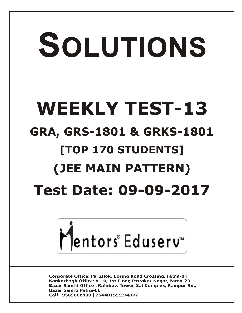# SOLUTIONS **WEEKLY TEST-13 GRA, GRS-1801 & GRKS-1801 [TOP 170 STUDENTS] (JEE MAIN PATTERN) Test Date: 09-09-2017**



**Corporate Office: Paruslok, Boring Road Crossing, Patna-01** Kankarbagh Office: A-10, 1st Floor, Patrakar Nagar, Patna-20 Bazar Samiti Office: Rainbow Tower, Sai Complex, Rampur Rd., **Bazar Samiti Patna-06** Call: 9569668800 | 7544015993/4/6/7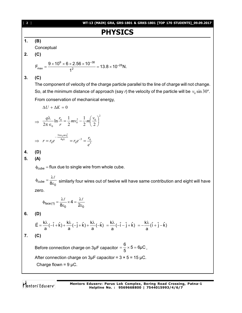[ **2** ] **WT-13 (MAIN) GRA, GRS-1801 & GRKS-1801 [TOP 170 STUDENTS]\_09.09.2017 PHYSICS 1. (B)** Conceptual **2. (C)** 9 –38 –28 max 2 9 10 6 2.56 10 F 13.8 10 N. 1 **3. (C)** The component of velocity of the charge particle parallel to the line of charge will not change. So, at the minimum distance of approach (say *r*) the velocity of the particle will be sin 30º. <sup>0</sup> *v* From conservation of mechanical energy, *U K* 0 2 2 0 0 0 <sup>0</sup> 2 2 1 2 1 ln 2 *v mv m r q r* <sup>3</sup> 3 0 0 4 3 0 2 0 0 *e r r r e r e q mv* **4. (D) 5. (A)** cube flux due to single wire from whole cube. cube 0 8 similarly four wires out of twelve will have same contribution and eight will have zero. face(1) 0 0 4 8 2 **6. (D)** k k k E ( i k) ( j k) ( k) ˆ ˆ ˆ ˆ ˆ a a a <sup>k</sup> ˆ ˆ ˆ ( i j k) a <sup>k</sup> ˆ ˆ ˆ (i j k) a **7. (C)** Before connection charge on 3µF capacitor 6 5 6µC 5 , After connection charge on 3µF capacitor = 3 × 5 = 15 µC. Charge flown = 9 µC.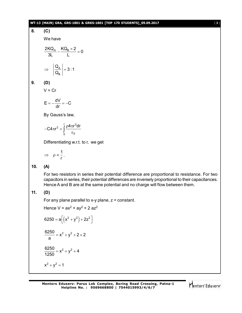#### **WT-13 (MAIN) GRA, GRS-1801 & GRKS-1801 [TOP 170 STUDENTS]\_09.09.2017** [ **3** ]

# **8. (C)** We have  $\frac{2\text{KQ}_\text{A}}{2\text{L}} - \frac{\text{KQ}_\text{B} \times 2}{\text{L}} = 0$ 3L L  $\Rightarrow$   $\left|\frac{\alpha_{\rm A}}{2}\right| =$ B  $\left|\frac{Q_A}{Q}\right| = 3:1$ Q **9. (D)**  $V = Cr$  $E = -\frac{dV}{dr} = -C$ dr By Gauss's law,  $-C4\pi r^2 = \int \frac{\rho 4\pi r}{r^2}$  $\int_{0}^{\frac{\pi}{2}}$  $2 \int \rho 4\pi r^2$  $0$   $\circ$  0  $C4\pi r^2 = \int \frac{\rho 4\pi r^2 dr}{r^2}$ Differentiating w.r.t. to r, we get  $\Rightarrow$   $\rho \propto \frac{1}{1}$ r . **10. (A)** For two resistors in series their potential difference are proportional to resistance. For two capacitors in series, their potential differences are inversely proportional to their capacitances. Hence A and B are at the same potential and no charge will flow between them. **11. (D)**

For any plane parallel to x-y plane,  $z = constant$ .

Hence  $V = ax^2 + ay^2 + 2 a z^2$ 

$$
6250 = a \left[ \left( x^2 + y^2 \right) + 2z^2 \right]
$$

$$
\frac{6250}{a} = x^2 + y^2 + 2 \times 2
$$

$$
\frac{6250}{1250} = x^2 + y^2 + 4
$$

$$
x^2 + y^2 = 1
$$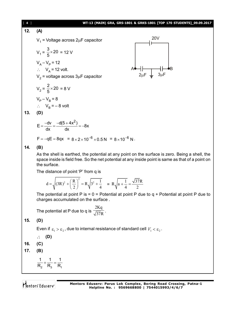

space inside is field free. So the net potential at any inside point is same as that of a point on the surface.

The distance of point 'P' from q is

$$
d = \sqrt{(3R)^2 + \left(\frac{R}{2}\right)^2} = R\sqrt{3^2 + \frac{1}{4}} = R\sqrt{a + \frac{1}{4}} = \frac{\sqrt{37}R}{2}
$$

The potential at point P is =  $0$  = Potential at point P due to  $q +$  Potential at point P due to charges accumulated on the surface .

The potential at P due to q is 2Kq  $\frac{1}{37R}$ .

**15. (D)**

Even if  $\, \varepsilon_{_{1}} > \varepsilon_{_{2}}$  , due to internal resistance of standard cell  $\,V_{_{1}} < \varepsilon_{_{2}}$  .

$$
\therefore (D)
$$

$$
16. (C)
$$

$$
17. (B)
$$

$$
\frac{1}{R_2} + \frac{1}{R_3} = \frac{1}{R_1}
$$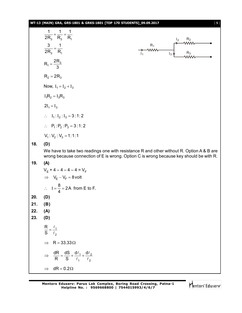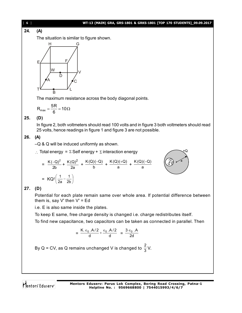#### [ **6** ] **WT-13 (MAIN) GRA, GRS-1801 & GRKS-1801 [TOP 170 STUDENTS]\_09.09.2017**

**24. (A)**

The situation is similar to figure shown.



The maximum resistance across the body diagonal points.

$$
R_{max}=\frac{5R}{6}=10\Omega
$$

#### **25. (D)**

In figure 2, both voltmeters should read 100 volts and in figure 3 both voltmeters should read 25 volts, hence readings in figure 1 and figure 3 are not possible.

# **26. (A)**

–Q & Q will be induced uniformly as shown.

 $\therefore$  Total energy =  $\Sigma$  Self energy +  $\Sigma$  interaction energy

$$
= \frac{K(-Q)^{2}}{2b} + \frac{K(Q)^{2}}{2a} + \frac{K(Q)(-Q)}{b} + \frac{K(Q)(+Q)}{a} + \frac{K(Q)(-Q)}{a}
$$

$$
= KQ^{2} \left(\frac{1}{2a} - \frac{1}{2b}\right)
$$

# **27. (D)**

Potential for each plate remain same over whole area. If potential difference between them is, say  $V'$  then  $V' = Ed$ 

i.e. E is also same inside the plates.

To keep E same, free charge density is changed i.e. charge redistributes itself. To find new capacitance, two capacitors can be taken as connected in parallel. Then

$$
= \frac{K \epsilon_0 A/2}{d} + \frac{\epsilon_0 A/2}{d} = \frac{3 \epsilon_0 A}{2d}
$$

By Q = CV, as Q remains unchanged V is changed to  $\frac{2}{3}$ V.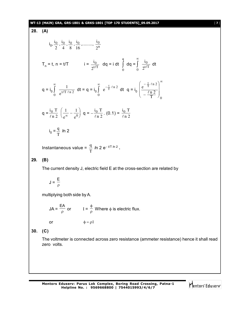#### **WT-13 (MAIN) GRA, GRS-1801 & GRKS-1801 [TOP 170 STUDENTS]\_09.09.2017** [ **7** ]

2

 $\overline{0}$  $2^{t/}$ 

0

,........, i

$$
\frac{0}{\rho_{\text{max}}}
$$
\n
$$
\frac{1}{\rho_{\text{max}}}
$$
\n
$$
\frac{1}{\rho_{\text{max}}}
$$
\n
$$
\frac{1}{\rho_{\text{max}}}
$$
\n
$$
\frac{1}{\rho_{\text{max}}}
$$
\n
$$
\frac{1}{\rho_{\text{max}}}
$$
\n
$$
\frac{1}{\rho_{\text{max}}}
$$
\n
$$
\frac{1}{\rho_{\text{max}}}
$$
\n
$$
\frac{1}{\rho_{\text{max}}}
$$
\n
$$
\frac{1}{\rho_{\text{max}}}
$$
\n
$$
\frac{1}{\rho_{\text{max}}}
$$

0

$$
q = \frac{i_0 T}{\ell n 2} \left( \frac{1}{e^{\infty}} - \frac{1}{e^0} \right) q = -\frac{i_0 T}{\ell n 2} . (0.1) = \frac{i_0 T}{\ell n 2}
$$

 $\frac{1}{e^{t/T \ln 2}}$  dt = q = i<sub>0</sub>

$$
i_0 = \frac{q}{T} \ln 2
$$

Instantaneous value =  $\frac{q}{\pi}$ T *l*n 2 e t/T *l*n 2 **.**

### **29. (B)**

**28. (A)**

 $i_0, \frac{i_0}{2}$ 2  $\frac{i_0}{i_0}$ 4  $\frac{i_0}{i_0}$ 8  $\frac{i_0}{i_0}$ 16

q = i<sub>0</sub>

0

 $\infty$  $\int \frac{1}{t/T}$ 

 $T_n = t$ ,  $n = t/T$  i =  $\frac{i_0}{2^{t/T}}$ 

The current density J, electric field E at the cross-section are related by

$$
J = \frac{E}{\rho}
$$

multiplying both side by A.

 $JA = \frac{\overline{a}}{a}$  $\frac{EA}{\rho}$  or  $I = \frac{\phi}{\rho}$  $\frac{\phi}{\phi}$  Where  $\phi$  is electric flux. or  $\phi = \rho I$ 

**30. (C)**

The voltmeter is connected across zero resistance (ammeter resistance) hence it shall read zero volts.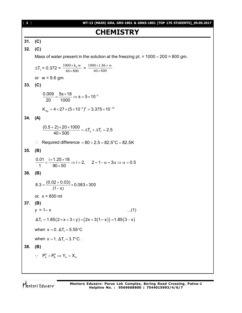[ **8** ] **WT-13 (MAIN) GRA, GRS-1801 & GRKS-1801 [TOP 170 STUDENTS]\_09.09.2017 CHEMISTRY 31. (C) 32. (C)** Mass of water present in the solution at the freezing pt.  $= 1000 - 200 = 800$  gm.  $\Delta T_f = 0.372 = \frac{1000 \times k_f w}{60 \times 800}$  $\times$  $\frac{X \times k_f w}{\langle 800 \rangle} = \frac{1000 \times 1.86 \times w}{60 \times 800}$  $\times$  $\times1.86\times$ or  $w = 9.6$  gm **33. (C)**  $\frac{0.009}{0.009} = \frac{5s \times 18}{1000} \Rightarrow s = 5 \times 10^{-3}$ 20 1000  $=\frac{5s\times18}{4000}\Rightarrow s=5\times10^{-7}$  $\mathsf{K}_{_{\mathsf{Sp}}} = 4\!\times\!27\!\times\! (5\!\times\!10^{\textnormal{-3}})^5 = 3.375\!\times\!10^{\textnormal{-10}}$ **34. (A)**  $\frac{(0.5+2)\times 20\times 1000}{40\times 500} = \Delta T_{b} + \Delta T_{f} = 2.5$  $40\times 500$  $\frac{(1+2) \times 20 \times 1000}{(10-50)} = \Delta T_{b} + \Delta T_{f} = 2$  $\times$  $\therefore$  Required difference = 80 + 2.5 = 82.5°C = 82.5K **35. (B)**  $\frac{0.01}{1.1} = \frac{i \times 1.25 \times 18}{0.00 \times 10^{-1}} \Rightarrow i = 2, \quad 2 = 1 - \alpha + 3\alpha \Rightarrow \alpha = 0.5$ 1  $90 \times 50$  $=\frac{i\times1.25\times18}{0.25\times10^{-1}}$   $\Rightarrow i=2$ ,  $2=1-\alpha+3\alpha \Rightarrow \alpha=0$  $\times$ **36. (B)**  $(8.3 = \frac{(0.02 + 0.03)}{(1.02 \times 0.083 \times 300)}$  $(1 - x)$  $=\frac{(0.02+0.03)}{(1-x^2)} \times 0.083 \times 3$  $\overline{\phantom{a}}$ or,  $x = 850$  ml **37. (B)**  $y = 1-x$  ...(1)  $\Delta T_f = 1.85 (2 \times x + 3 \times y) = (2x + 3(1 - x)) = 1.85 (3 - x)$ when  $x = 0$ .  $\Delta T_f = 5.55$ °C when  $x = 1$ .  $\Delta T_f = 3.7$ °C. **38. (B)**  $\therefore$   $P_A^0 > P_B^0 \Rightarrow Y_A > X_A$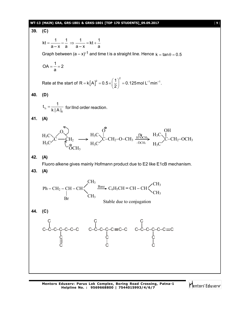#### **WT-13 (MAIN) GRA, GRS-1801 & GRKS-1801 [TOP 170 STUDENTS]\_09.09.2017** [ **9** ]

**39. (C)**  $kt = \frac{1}{1} - \frac{1}{1} \Rightarrow \frac{1}{1} = kt + \frac{1}{1}$ a-x a `a-x <sup>co</sup>a  $=$   $\frac{1}{2}$   $\frac{1}{2}$   $\Rightarrow$   $\frac{1}{2}$   $=$  kt + -Graph between  $(a - x)^{-1}$  and time t is a straight line. Hence  $k = \tan \theta = 0.5$  $OA = \frac{1}{1} = 2$ a  $= -2$ Rate at the start of  $R = k |A|^2$  $R = k [A]^2 = 0.5 \times (\frac{1}{2})^2 = 0.125$  mol L<sup>-1</sup> min<sup>-1</sup>. 2  $= k[A]^2 = 0.5 \times \left(\frac{1}{2}\right)^2 = 0.5$ **40. (D)**  $\frac{1}{2}$ 0  $t_{1/2} = \frac{1}{1+1}$  $=\frac{1}{k |A|_0}$  for lind order reaction. **41. (A)**  $C - C H_2$ O  $_{\mathrm{H_3C}}$  $H_3C$  $OCH<sub>3</sub>$ H–OCH<sup>3</sup>  $C$ – $CH_2$ – $O$ – $CH_3$   $\frac{H^2OCl_3}{-OCH_3}$  $H_3C$  $H_3C$ O  $C$ – $CH_2$ – $OCH_3$  $H_3C$  $H_3C$ OH – **42. (A)** Fluoro alkene gives mainly Hofmann product due to E2 like E1cB mechanism. **43. (A)**  $Ph - CH_2 - CH - CH \left\{\right. \qquad \frac{\text{Base}}{}$ Br CH<sub>3</sub> CH<sup>3</sup> Stable due to conjugation C6H5CH **=** CH **–** CH CH<sup>3</sup> CH<sup>3</sup> **44. (C)** C–C–C–C–C–C–C C C C  $C$ – $C$ – $C$ – $C \equiv C$ – $C$ C C C C–C–C–C–C–C≡C C C C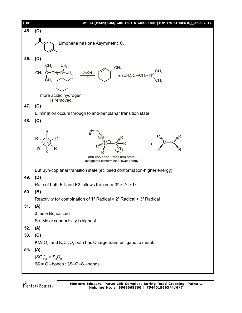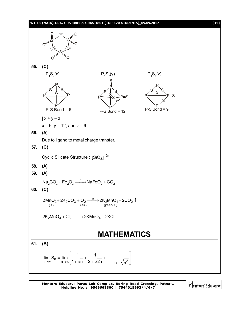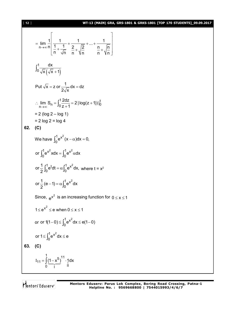# [ **12** ] **WT-13 (MAIN) GRA, GRS-1801 & GRKS-1801 [TOP 170 STUDENTS]\_09.09.2017**

$$
\lim_{n \to \infty} \frac{1}{n} \left[ \frac{1}{\frac{1}{n} + \frac{1}{\sqrt{n}}} + \frac{1}{\frac{2}{n} + \sqrt{\frac{2}{n}}} + \dots + \frac{1}{\frac{n}{n} + \sqrt{\frac{n}{n}}} \right]
$$
\n
$$
\int_{0}^{1} \frac{dx}{\sqrt{x} (\sqrt{x} + 1)}
$$
\nPut  $\sqrt{x} = z$  or  $\frac{1}{2\sqrt{x}} dx = dz$   
\n
$$
\therefore \lim_{n \to \infty} S_{n} = \int_{0}^{1} \frac{2dz}{z+1} = 2 |\log(z + 1)|_{0}^{1}
$$
\n
$$
= 2 (\log 2 - \log 1)
$$
\n
$$
= 2 \log 2 = \log 4
$$
\n**62.** (C)  
\nWe have  $\int_{0}^{1} e^{x^{2}} (x - \alpha) dx = 0$ ,  
\nor  $\int_{0}^{1} e^{x^{2}} x dx = \int_{0}^{1} e^{x^{2}} dx$   
\nor  $\frac{1}{2} \int_{0}^{1} e^{t} dt = \alpha \int_{0}^{1} e^{x^{2}} dx$ , where  $t = x^{2}$   
\nor  $\frac{1}{2} (e - 1) = \alpha \int_{0}^{1} e^{x^{2}} dx$   
\nSince,  $e^{x^{2}}$  is an increasing function for  $0 \le x \le 1$   
\n $1 \le e^{x^{2}} \le e$  when  $0 \le x \le 1$   
\nor or  $1(1 - 0) \le \int_{0}^{1} e^{x^{2}} dx \le e(1 - 0)$   
\nor  $1 \le \int_{0}^{1} e^{x^{2}} dx \le e$   
\n**63.** (C)  
\n $I_{11} = \int_{0}^{1} \frac{1}{(1 - x^{5})} = \frac{1}{1} \cdot \frac{1}{1} dx$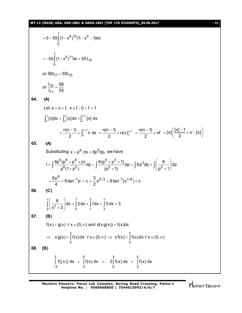$$
= 0 - 55 \int_{0}^{1} (1 - x^{5})^{10} (1 - x^{5} - 1) dx
$$
\n
$$
= -55 \int_{0}^{1} (1 - x^{5})^{11} dx + 55 I_{10}
$$
\nor  $56I_{11} = 55I_{10}$   
\nor  $\frac{I_{10}}{I_{11}} = \frac{56}{55}$   
\n64. (A)  
\nLet  $x = n + f$ ,  $n \in I^{n}$ ,  $0 < f < 1$   
\n
$$
\int_{0}^{x} [x] dx = \int_{0}^{n} [x] dx + \int_{n}^{n+1} x I dx
$$
\n
$$
= \frac{n(n-1)}{2} + \int_{n}^{n+1} n dx = \frac{n(n-1)}{2} + n(x)_{n}^{n+1} = \frac{n(n-1)}{2} + nf = [x] (\frac{|x|-1}{2} + x - [x])
$$
\n65. (A)  
\nSubstituting  $x = p^{6}$ ,  $dx = 6p^{5}dp$ , we have  
\n
$$
I = \int \frac{6p^{5}(p^{6} + p^{4} + p)}{p^{6}(1 + p^{2})} dp = \int \frac{6(p^{5} + p^{3} + 1)}{(p^{2} + 1)} dp = \int 6p^{3}dp + \int (\frac{6}{p^{2} + 1}) dp
$$
\n
$$
= \frac{6p^{4}}{p^{4}} + 6 \tan^{-1}p + c = \frac{3}{2}x^{2/3} + 6 \tan^{-1}(x^{1/6}) + c
$$
\n66. (C)  
\n
$$
\int_{0}^{\infty} [\frac{6}{x^{2} + 2}] dx = \int_{0}^{1} 2dx + \int_{1}^{2} 1 dx + \int_{2}^{0} 0 dx = 3
$$
\n67. (B)  
\n $f(x) < g(x) \forall x \in (0, \infty)$  and  $d(x g(x)) = f(x) dx$   
\n $\Rightarrow x g(x) = \int_{0}^{x} f(x) dx \forall x \in (0, \infty) \Rightarrow x f(x) < \int_{0}^{x} f(x) dx \forall x \in (0, \infty)$   
\n68. (B)  
\n
$$
\int_{-3}^{3} f
$$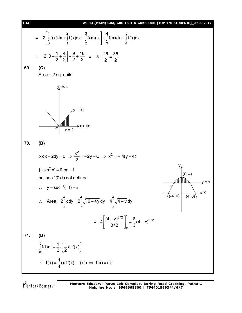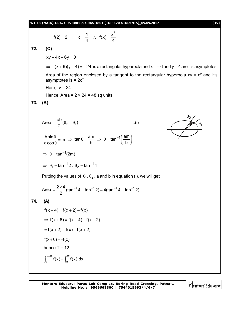**WT-13 (MAIN) GRA, GRS-1801 & GRKS-1801 [TOP 170 STUDENTS]\_09.09.2017** [ **15** ]

$$
f(2) = 2 \implies c = \frac{1}{4}
$$
 :  $f(x) = \frac{x^3}{4}$ .

**72. (C)**

 $xy - 4x + 6y = 0$  $\Rightarrow$   $(x+6)(y-4) = -24$  is a rectangular hyperbola and  $x = -6$  and  $y = 4$  are it's asymptotes. Area of the region enclosed by a tangent to the rectangular hyperbola  $xy = c^2$  and it's asymptotes is  $= 2c^2$ Here,  $c^2 = 24$ Hence, Area =  $2 \times 24 = 48$  sq units. **73. (B)** 2  $\theta$ 1 Area =  $\frac{ab}{2}(\theta_2 - \theta_1)$  ...(i) 2  $\theta_2 - \theta_1$ ) ...(i)  $\frac{b \sin \theta}{\theta} = m$ acos  $\frac{\theta}{\theta} =$  $\theta$  $\Rightarrow$  tan  $\theta = \frac{am}{L}$ b  $\theta = \frac{am}{h} \implies \theta = \tan^{-1} \left( \frac{am}{h} \right)$  $\theta = \tan^{-1}\left(\frac{am}{b}\right)$  $\Rightarrow$   $\theta = \tan^{-1}(2m)$  $\Rightarrow$   $\theta_1 = \tan^{-1} 2$ ,  $\theta_2 = \tan^{-1} 1$  $\theta_2 = \tan^{-1} 4$ Putting the values of  $\theta_1$ ,  $\theta_2$ , a and b in equation (i), we will get Area  $=\frac{2\times4}{2}$ (tan<sup>-1</sup>4 – tan<sup>-1</sup>2) = 4(tan<sup>-1</sup>4 – tan<sup>-1</sup>2) 2  $=\frac{2\times4}{2}$ (tan<sup>-1</sup>4 – tan<sup>-1</sup>2) = 4(tan<sup>-1</sup>4 – tan<sup>-1</sup> **74. (A)**  $f(x + 4) = f(x + 2) - f(x)$  $\Rightarrow$  f(x + 6) = f(x + 4) – f(x + 2)  $f(x + 2) - f(x) - f(x + 2)$  $f(x+6) = -f(x)$ hence  $T = 12$ 12م . 12  $\int_{0}^{\lambda+12} f(x) = \int_{0}^{12} f(x) dx$  $\int_{\lambda}^{x+\lambda} f(x) = \int_{0}^{x} f(x)$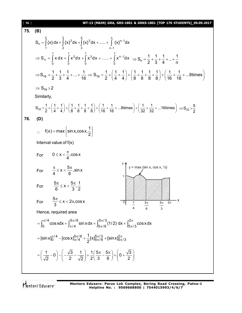161 **WF13 (MANN) GRA, GRS-1801 R GRKS-1801 [TOP 170 STUDENTS] 09.09.2017  
\n75. (B)  
\n
$$
S_n = \int_{0}^{2} x dx + \int_{0}^{3} x^2 dx + \int_{0}^{4} x^3 dx +.....+ \int_{n-1}^{1} (x)^{n-1} dx
$$
\n
$$
\Rightarrow S_n = \int_{0}^{1} x dx + \int_{0}^{1} x^2 dx + \int_{0}^{1} x^3 dx +.....+ \int_{0}^{1} x^{n-1} dx \Rightarrow S_n = \frac{1}{2} + \frac{1}{3} + \frac{1}{4} + .. + \frac{1}{n}
$$
\n
$$
\Rightarrow S_{16} = \frac{1}{2} + \frac{1}{3} + \frac{1}{4} + ... + \frac{1}{16} \Rightarrow S_{16} > \frac{1}{2} + (\frac{1}{4} + \frac{1}{4}) + (\frac{1}{8} + \frac{1}{8} + \frac{1}{8}) + (\frac{1}{16} + \frac{1}{16} + ... + 8 \text{times})
$$
\n
$$
\Rightarrow S_{16} > 2
$$
\nSimilarly,  
\n
$$
S_{22} > \frac{1}{2} + (\frac{1}{4} + \frac{1}{4}) + (\frac{1}{8} + \frac{1}{8} + \frac{1}{8}) + (\frac{1}{16} + \frac{1}{16} + ... + 8 \text{times}) + (\frac{1}{32} + \frac{1}{32} + ... + 16 \text{times}) = S_{32} > \frac{5}{2}
$$
\n76. (D)  
\n
$$
\therefore \text{ f(x) = max \{sin x, cos x, \frac{1}{2}\}
$$
\nInterval value of f(x)  
\nFor  $0 \le x < \frac{\pi}{4}$ , cos x  
\nFor  $\frac{\pi}{4} \le x < \frac{5\pi}{6}$ , sin x  
\nFor  $\frac{5\pi}{6} \le x < \frac{5\pi}{3}$ ,  $\frac{1}{2}$   
\nFor  $\frac{5\pi}{6} \le x < 2\pi$ , cos x  
\nHence, required area  
\n
$$
= \int_{0}^{\pi/4} cos x dx + \int_{\pi/4}^{5\pi/6} sin x dx + \int_{5\pi/8}
$$**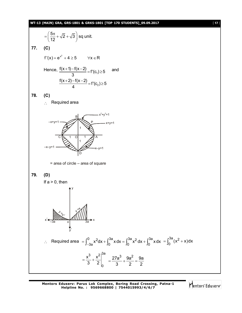#### **WT-13 (MAIN) GRA, GRS-1801 & GRKS-1801 [TOP 170 STUDENTS]\_09.09.2017** [ **17** ]

$$
= \left(\frac{5\pi}{12} + \sqrt{2} + \sqrt{3}\right) \text{ sq unit.}
$$
\n77. (C)  
\n $f'(x) = e^{x^2} + 4 \ge 5 \quad \forall x \in \mathbb{R}$   
\nHence,  $\frac{f(x+1)-f(x-2)}{3} = f'(c_2) \ge 5$   
\n78. (C)  
\n∴ Required area  
\n
$$
\frac{f(x+2)-f(x-2)}{4} = f'(c_2) \ge 5
$$
\n78. (C)  
\n∴ Required area  
\n
$$
= \text{area of circle - area of square}
$$
\n79. (D)  
\nIf a > 0, then  
\n $f'(x) = 0$ , then  
\n $f'(x) = \frac{1}{3}$   
\n $f'(x) = \frac{1}{3}$   
\n $f'(x) = \frac{1}{3}$   
\n $f'(x) = \frac{1}{3}$   
\n $f'(x) = \frac{1}{3}$   
\n $f'(x) = \frac{1}{3}$   
\n $f'(x) = \frac{1}{3}$   
\n $f'(x) = \frac{1}{3}$   
\n $f'(x) = \frac{1}{3}$   
\n $f'(x) = \frac{1}{3}$   
\n $f'(x) = \frac{1}{3}$   
\n $f'(x) = \frac{1}{3}$   
\n $f'(x) = \frac{1}{3}$   
\n $f'(x) = \frac{1}{3}$   
\n $f'(x) = \frac{1}{3}$   
\n $f'(x) = \frac{1}{3}$   
\n $f'(x) = \frac{1}{3}$   
\n $f'(x) = \frac{1}{3}$   
\n $f'(x) = \frac{1}{3}$   
\n $f'(x) = \frac{1}{3}$   
\n $f'(x) = \frac{1}{3}$   
\n $f'(x) = \frac{1}{3}$   
\n $f'(x) = \frac{1}{3}$   
\n $f'(x) = \frac{1}{3}$   
\n $f'(x) = \frac{1}{3}$   
\n $f'(x) = \frac{1}{3}$   
\n $f'(x) = \frac{1}{3}$   
\n<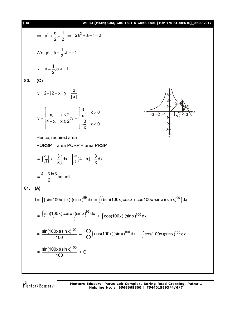# [ **18** ] **WT-13 (MAIN) GRA, GRS-1801 & GRKS-1801 [TOP 170 STUDENTS]\_09.09.2017**

$$
\Rightarrow a^{2} + \frac{a}{2} = \frac{1}{2} \Rightarrow 2a^{2} + a - 1 = 0
$$
\nWe get,  $a = \frac{1}{2}, a = -1$   
\n
$$
\therefore a = \frac{1}{2}, a \neq -1
$$
\n80. (C)  
\n
$$
y = 2 - |2 - x|, y = \frac{3}{|x|}
$$
\n
$$
y = \begin{cases}\nx, & x \leq 2, y = \begin{cases}\n\frac{3}{x}, & x > 0 \\
-\frac{3}{x} & x < 0\n\end{cases}
$$
\nHence, required area  
\nPORSP = area PQRP + area PRSP  
\n
$$
= \left|\int_{\sqrt{3}}^{2} \left(x - \frac{3}{x}\right) dx\right| + \left|\int_{2}^{3} (4 - x) - \frac{3}{x} dx\right|
$$
\n
$$
= \frac{4 - 3 \ln 3}{2} \text{ sq unit.}
$$
\n81. (A)  
\n
$$
I = \int (\sin(100x + x) \cdot (\sin x)^{99} dx = \int ((\sin(100x) \cos x + \cos 100x \cdot \sin x)(\sin x)^{99}) dx
$$
\n
$$
= \frac{\int \sin(100x) \cos x \cdot (\sin x)^{99} dx}{100} + \int \cos(100x) \cdot (\sin x)^{100} dx + \int \cos(100x) (\sin x)^{100} dx
$$
\n
$$
= \frac{\sin(100x) (\sin x)^{100}}{100} - \frac{100}{100} \int \cos(100x) (\sin x)^{100} dx + \int \cos(100x) (\sin x)^{100} dx
$$
\n
$$
= \frac{\sin(100x) (\sin x)^{100}}{100} - \frac{100}{100} \int \cos(100x) (\sin x)^{100} dx + \int \cos(100x) (\sin x)^{100} dx
$$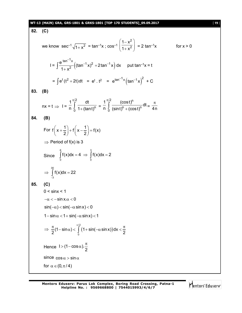#### **WT-13 (MAIN) GRA, GRS-1801 & GRKS-1801 [TOP 170 STUDENTS]\_09.09.2017** [ **19** ]

**82. (C)** we know  $\sec^{-1} \sqrt{1 + x^2} = \tan^{-1} x$ ;  $\cos^{-1}$ 2 2  $1 - x^2$  $1 + x^2$  $(1-x^2)$  $\left(\frac{1}{1+x^2}\right) = 2 \tan^{-1}x$  for  $x > 0$  $I = \int_{-4.1}^{5} \frac{1}{2} ((\tan^{-1} x)^2 + 2 \tan^{-1} x)$  $\tan^{-1}x$   $(12n^{-1}x)^2$   $(212n^{-1}x)^2$ 2  $\frac{e^{tan x}}{x^2}((tan^{-1}x)^2 + 2tan^{-1}x) dx$  $1 + x^2$ - $^{-1}$  x)<sup>2</sup> +2tan<sup>-1</sup>  $\int_{1+x^2}^{x^2} ((\tan^{-1}x)^2 + 2\tan^{-1}x) dx$  put tan<sup>-1</sup>x = t =  $\int e^{t}(t^2 + 2t)dt$  =  $e^{t} \cdot t^2$  =  $e^{tan^{-1}x}(tan^{-1}x)^2$  + C **83. (B)**  $nx = t \Rightarrow 1 =$ 2 n 0 1 dt n  $\frac{1}{0}$  1+(tant) π  $\int_{0}^{\pi} \frac{dt}{1+(tan t)^{n}}$  = <sup>2</sup>  $(\text{coeff})^n$  $n + (cos t)^n$ 0  $\frac{1}{\pi} \int_{0}^{\pi/2} \frac{(\cosh)^n}{\sinh(n\theta)}$ dt n  $\frac{J}{0}$  (sint)<sup>n</sup> + (cost) π  $\int_{0}^{\pi} \frac{(\cosh)^{n}}{(\sin t)^{n}+(\cosh)^{n}} dt = \frac{\pi}{4n}$ **84. (B)** For  $f(x+\frac{1}{2})+f(x-\frac{1}{2})=f(x)$ 2) ( 2  $\left(x+\frac{1}{2}\right)+f\left(x-\frac{1}{2}\right)=1$  $\Rightarrow$  Period of f(x) is 3 Since 6 3  $\int_{0}^{x} f(x) dx = 4 \implies \int_{0}^{x} f(x) dx = 2$ 30 3  $f(x)$ d $x = 22$  $\Rightarrow \int_{-3}^{3} f(x) dx = 2$ **85. (C)**  $0 <$  sinx  $< 1$  $-\alpha < -\sin x.\alpha < 0$  $\sin(-\alpha) < \sin(-\alpha \sin x) < 0$  $1 - \sin \alpha < 1 + \sin(-\alpha \sin x) < 1$  $\Rightarrow$   $\frac{\pi}{6}(1-\sin \alpha) < \int (1+\sin(-\alpha \sin x))$ /2 0 (1–sin $\alpha$ ) $<$   $\mid$  (1+sin(– $\alpha$ sinx))dx  $2^{x}$   $2^{x}$  $\frac{\pi}{2}(1-\sin\alpha) < \int\limits_{1}^{\pi/2}(1+\sin(-\alpha\sin x))dx < \frac{\pi}{2}$ Hence  $1 > (1 - \cos \alpha) \cdot \frac{\pi}{2}$  $>$  (1 – cos  $\alpha$ ).  $\frac{\pi}{2}$ since  $\cos \alpha > \sin \alpha$ for  $\alpha \in (0, \pi / 4)$ 

Mentors<sup>®</sup> Eduserv<sup>®</sup>